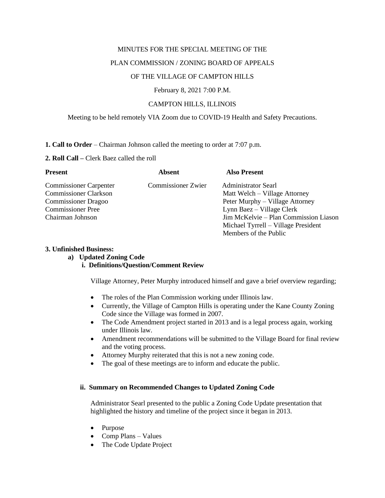#### MINUTES FOR THE SPECIAL MEETING OF THE

#### PLAN COMMISSION / ZONING BOARD OF APPEALS

### OF THE VILLAGE OF CAMPTON HILLS

#### February 8, 2021 7:00 P.M.

## CAMPTON HILLS, ILLINOIS

### Meeting to be held remotely VIA Zoom due to COVID-19 Health and Safety Precautions.

#### **1. Call to Order** – Chairman Johnson called the meeting to order at 7:07 p.m.

#### **2. Roll Call –** Clerk Baez called the roll

| <b>Present</b>                | <b>Absent</b>             | <b>Also Present</b>                   |
|-------------------------------|---------------------------|---------------------------------------|
| <b>Commissioner Carpenter</b> | <b>Commissioner Zwier</b> | <b>Administrator Searl</b>            |
| <b>Commissioner Clarkson</b>  |                           | Matt Welch – Village Attorney         |
| <b>Commissioner Dragoo</b>    |                           | Peter Murphy – Village Attorney       |
| <b>Commissioner Pree</b>      |                           | Lynn Baez – Village Clerk             |
| Chairman Johnson              |                           | Jim McKelvie – Plan Commission Liason |
|                               |                           | Michael Tyrrell – Village President   |
|                               |                           | Members of the Public                 |

#### **3. Unfinished Business:**

### **a) Updated Zoning Code**

## **i. Definitions/Question/Comment Review**

Village Attorney, Peter Murphy introduced himself and gave a brief overview regarding;

- The roles of the Plan Commission working under Illinois law.
- Currently, the Village of Campton Hills is operating under the Kane County Zoning Code since the Village was formed in 2007.
- The Code Amendment project started in 2013 and is a legal process again, working under Illinois law.
- Amendment recommendations will be submitted to the Village Board for final review and the voting process.
- Attorney Murphy reiterated that this is not a new zoning code.
- The goal of these meetings are to inform and educate the public.

## **ii. Summary on Recommended Changes to Updated Zoning Code**

Administrator Searl presented to the public a Zoning Code Update presentation that highlighted the history and timeline of the project since it began in 2013.

- Purpose
- Comp Plans Values
- The Code Update Project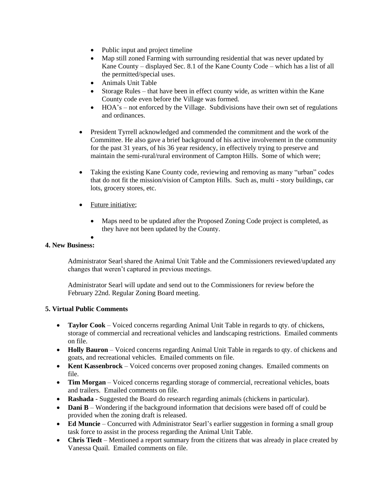- Public input and project timeline
- Map still zoned Farming with surrounding residential that was never updated by Kane County – displayed Sec. 8.1 of the Kane County Code – which has a list of all the permitted/special uses.
- Animals Unit Table
- Storage Rules that have been in effect county wide, as written within the Kane County code even before the Village was formed.
- HOA's not enforced by the Village. Subdivisions have their own set of regulations and ordinances.
- President Tyrrell acknowledged and commended the commitment and the work of the Committee. He also gave a brief background of his active involvement in the community for the past 31 years, of his 36 year residency, in effectively trying to preserve and maintain the semi-rural/rural environment of Campton Hills. Some of which were;
- Taking the existing Kane County code, reviewing and removing as many "urban" codes that do not fit the mission/vision of Campton Hills. Such as, multi - story buildings, car lots, grocery stores, etc.
- Future initiative;
	- Maps need to be updated after the Proposed Zoning Code project is completed, as they have not been updated by the County.

#### • **4. New Business:**

Administrator Searl shared the Animal Unit Table and the Commissioners reviewed/updated any changes that weren't captured in previous meetings.

Administrator Searl will update and send out to the Commissioners for review before the February 22nd. Regular Zoning Board meeting.

# **5. Virtual Public Comments**

- **Taylor Cook** Voiced concerns regarding Animal Unit Table in regards to qty. of chickens, storage of commercial and recreational vehicles and landscaping restrictions. Emailed comments on file.
- **Holly Bauron** Voiced concerns regarding Animal Unit Table in regards to qty. of chickens and goats, and recreational vehicles. Emailed comments on file.
- **Kent Kassenbrock** Voiced concerns over proposed zoning changes. Emailed comments on file.
- **Tim Morgan** Voiced concerns regarding storage of commercial, recreational vehicles, boats and trailers. Emailed comments on file.
- **Rashada** Suggested the Board do research regarding animals (chickens in particular).
- **Dani B** Wondering if the background information that decisions were based off of could be provided when the zoning draft is released.
- **Ed Muncie** Concurred with Administrator Searl's earlier suggestion in forming a small group task force to assist in the process regarding the Animal Unit Table.
- **Chris Tiedt** Mentioned a report summary from the citizens that was already in place created by Vanessa Quail. Emailed comments on file.